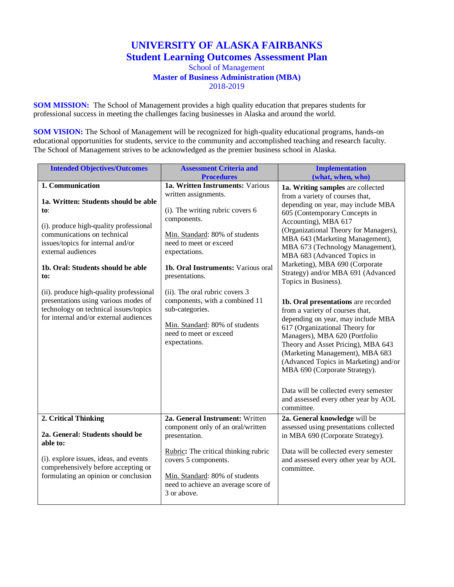## **UNIVERSITY OF ALASKA FAIRBANKS Student Learning Outcomes Assessment Plan**

## School of Management **Master of Business Administration (MBA)** 2018-2019

**SOM MISSION:** The School of Management provides a high quality education that prepares students for professional success in meeting the challenges facing businesses in Alaska and around the world.

**SOM VISION:** The School of Management will be recognized for high-quality educational programs, hands-on educational opportunities for students, service to the community and accomplished teaching and research faculty. The School of Management strives to be acknowledged as the premier business school in Alaska.

| <b>Intended Objectives/Outcomes</b>                                                                                                                                                                                                                                                                                                                                         | <b>Assessment Criteria and</b>                                                                                                                                                                                                                                                                                                          | <b>Implementation</b>                                                                                                                                                                                                                                                                                                                                                                                                                                                                        |
|-----------------------------------------------------------------------------------------------------------------------------------------------------------------------------------------------------------------------------------------------------------------------------------------------------------------------------------------------------------------------------|-----------------------------------------------------------------------------------------------------------------------------------------------------------------------------------------------------------------------------------------------------------------------------------------------------------------------------------------|----------------------------------------------------------------------------------------------------------------------------------------------------------------------------------------------------------------------------------------------------------------------------------------------------------------------------------------------------------------------------------------------------------------------------------------------------------------------------------------------|
|                                                                                                                                                                                                                                                                                                                                                                             | <b>Procedures</b>                                                                                                                                                                                                                                                                                                                       | (what, when, who)                                                                                                                                                                                                                                                                                                                                                                                                                                                                            |
| 1. Communication<br>1a. Written: Students should be able<br>to:<br>(i). produce high-quality professional<br>communications on technical<br>issues/topics for internal and/or<br>external audiences<br>1b. Oral: Students should be able<br>to:<br>(ii). produce high-quality professional<br>presentations using various modes of<br>technology on technical issues/topics | 1a. Written Instruments: Various<br>written assignments.<br>(i). The writing rubric covers 6<br>components.<br>Min. Standard: 80% of students<br>need to meet or exceed<br>expectations.<br>1b. Oral Instruments: Various oral<br>presentations.<br>(ii). The oral rubric covers 3<br>components, with a combined 11<br>sub-categories. | 1a. Writing samples are collected<br>from a variety of courses that,<br>depending on year, may include MBA<br>605 (Contemporary Concepts in<br>Accounting), MBA 617<br>(Organizational Theory for Managers),<br>MBA 643 (Marketing Management),<br>MBA 673 (Technology Management),<br>MBA 683 (Advanced Topics in<br>Marketing), MBA 690 (Corporate<br>Strategy) and/or MBA 691 (Advanced<br>Topics in Business).<br>1b. Oral presentations are recorded<br>from a variety of courses that, |
| for internal and/or external audiences                                                                                                                                                                                                                                                                                                                                      | Min. Standard: 80% of students<br>need to meet or exceed<br>expectations.                                                                                                                                                                                                                                                               | depending on year, may include MBA<br>617 (Organizational Theory for<br>Managers), MBA 620 (Portfolio<br>Theory and Asset Pricing), MBA 643<br>(Marketing Management), MBA 683<br>(Advanced Topics in Marketing) and/or<br>MBA 690 (Corporate Strategy).<br>Data will be collected every semester<br>and assessed every other year by AOL<br>committee.                                                                                                                                      |
| 2. Critical Thinking                                                                                                                                                                                                                                                                                                                                                        | 2a. General Instrument: Written                                                                                                                                                                                                                                                                                                         | 2a. General knowledge will be                                                                                                                                                                                                                                                                                                                                                                                                                                                                |
| 2a. General: Students should be<br>able to:<br>(i). explore issues, ideas, and events<br>comprehensively before accepting or<br>formulating an opinion or conclusion                                                                                                                                                                                                        | component only of an oral/written<br>presentation.<br>Rubric: The critical thinking rubric<br>covers 5 components.<br>Min. Standard: 80% of students<br>need to achieve an average score of                                                                                                                                             | assessed using presentations collected<br>in MBA 690 (Corporate Strategy).<br>Data will be collected every semester<br>and assessed every other year by AOL<br>committee.                                                                                                                                                                                                                                                                                                                    |
|                                                                                                                                                                                                                                                                                                                                                                             | 3 or above.                                                                                                                                                                                                                                                                                                                             |                                                                                                                                                                                                                                                                                                                                                                                                                                                                                              |